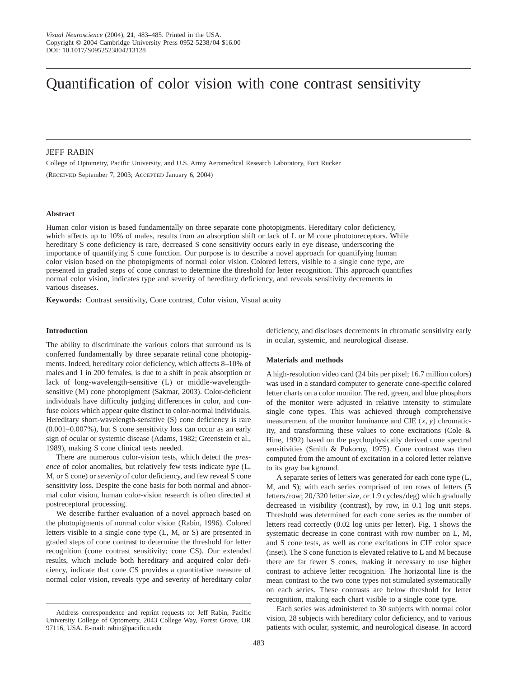# Quantification of color vision with cone contrast sensitivity

# JEFF RABIN

College of Optometry, Pacific University, and U.S. Army Aeromedical Research Laboratory, Fort Rucker (Received September 7, 2003; Accepted January 6, 2004)

## **Abstract**

Human color vision is based fundamentally on three separate cone photopigments. Hereditary color deficiency, which affects up to 10% of males, results from an absorption shift or lack of L or M cone phototoreceptors. While hereditary S cone deficiency is rare, decreased S cone sensitivity occurs early in eye disease, underscoring the importance of quantifying S cone function. Our purpose is to describe a novel approach for quantifying human color vision based on the photopigments of normal color vision. Colored letters, visible to a single cone type, are presented in graded steps of cone contrast to determine the threshold for letter recognition. This approach quantifies normal color vision, indicates type and severity of hereditary deficiency, and reveals sensitivity decrements in various diseases.

**Keywords:** Contrast sensitivity, Cone contrast, Color vision, Visual acuity

#### **Introduction**

The ability to discriminate the various colors that surround us is conferred fundamentally by three separate retinal cone photopigments. Indeed, hereditary color deficiency, which affects 8–10% of males and 1 in 200 females, is due to a shift in peak absorption or lack of long-wavelength-sensitive (L) or middle-wavelengthsensitive (M) cone photopigment (Sakmar, 2003). Color-deficient individuals have difficulty judging differences in color, and confuse colors which appear quite distinct to color-normal individuals. Hereditary short-wavelength-sensitive (S) cone deficiency is rare (0.001–0.007%), but S cone sensitivity loss can occur as an early sign of ocular or systemic disease (Adams, 1982; Greenstein et al., 1989), making S cone clinical tests needed.

There are numerous color-vision tests, which detect the *presence* of color anomalies, but relatively few tests indicate *type* (L, M, or S cone) or *severity* of color deficiency, and few reveal S cone sensitivity loss. Despite the cone basis for both normal and abnormal color vision, human color-vision research is often directed at postreceptoral processing.

We describe further evaluation of a novel approach based on the photopigments of normal color vision (Rabin, 1996). Colored letters visible to a single cone type (L, M, or S) are presented in graded steps of cone contrast to determine the threshold for letter recognition (cone contrast sensitivity; cone CS). Our extended results, which include both hereditary and acquired color deficiency, indicate that cone CS provides a quantitative measure of normal color vision, reveals type and severity of hereditary color deficiency, and discloses decrements in chromatic sensitivity early in ocular, systemic, and neurological disease.

#### **Materials and methods**

A high-resolution video card (24 bits per pixel; 16.7 million colors) was used in a standard computer to generate cone-specific colored letter charts on a color monitor. The red, green, and blue phosphors of the monitor were adjusted in relative intensity to stimulate single cone types. This was achieved through comprehensive measurement of the monitor luminance and CIE  $(x, y)$  chromaticity, and transforming these values to cone excitations (Cole & Hine, 1992) based on the psychophysically derived cone spectral sensitivities (Smith & Pokorny, 1975). Cone contrast was then computed from the amount of excitation in a colored letter relative to its gray background.

A separate series of letters was generated for each cone type (L, M, and S); with each series comprised of ten rows of letters (5 letters/row;  $20/320$  letter size, or 1.9 cycles/deg) which gradually decreased in visibility (contrast), by row, in 0.1 log unit steps. Threshold was determined for each cone series as the number of letters read correctly (0.02 log units per letter). Fig. 1 shows the systematic decrease in cone contrast with row number on L, M, and S cone tests, as well as cone excitations in CIE color space (inset). The S cone function is elevated relative to L and M because there are far fewer S cones, making it necessary to use higher contrast to achieve letter recognition. The horizontal line is the mean contrast to the two cone types not stimulated systematically on each series. These contrasts are below threshold for letter recognition, making each chart visible to a single cone type.

Each series was administered to 30 subjects with normal color vision, 28 subjects with hereditary color deficiency, and to various patients with ocular, systemic, and neurological disease. In accord

Address correspondence and reprint requests to: Jeff Rabin, Pacific University College of Optometry, 2043 College Way, Forest Grove, OR 97116, USA. E-mail: rabin@pacificu.edu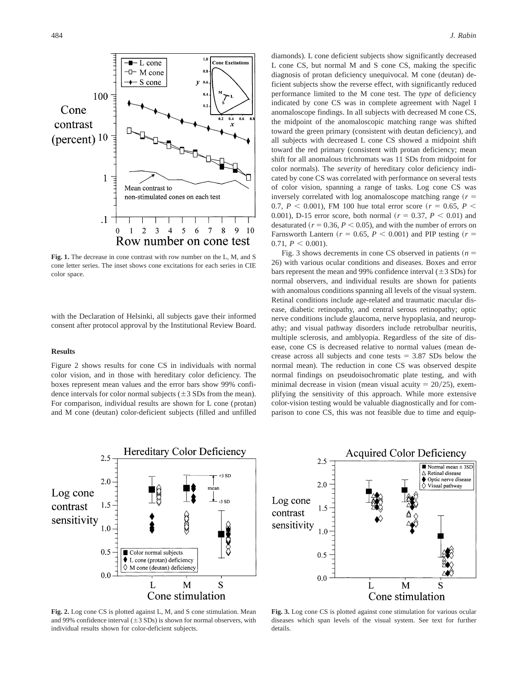

**Fig. 1.** The decrease in cone contrast with row number on the L, M, and S cone letter series. The inset shows cone excitations for each series in CIE color space.

with the Declaration of Helsinki, all subjects gave their informed consent after protocol approval by the Institutional Review Board.

#### **Results**

Figure 2 shows results for cone CS in individuals with normal color vision, and in those with hereditary color deficiency. The boxes represent mean values and the error bars show 99% confidence intervals for color normal subjects  $(\pm 3 \text{ SDs from the mean}).$ For comparison, individual results are shown for L cone (protan) and M cone (deutan) color-deficient subjects (filled and unfilled

diamonds). L cone deficient subjects show significantly decreased L cone CS, but normal M and S cone CS, making the specific diagnosis of protan deficiency unequivocal. M cone (deutan) deficient subjects show the reverse effect, with significantly reduced performance limited to the M cone test. The *type* of deficiency indicated by cone CS was in complete agreement with Nagel I anomaloscope findings. In all subjects with decreased M cone CS, the midpoint of the anomaloscopic matching range was shifted toward the green primary (consistent with deutan deficiency), and all subjects with decreased L cone CS showed a midpoint shift toward the red primary (consistent with protan deficiency; mean shift for all anomalous trichromats was 11 SDs from midpoint for color normals). The *severity* of hereditary color deficiency indicated by cone CS was correlated with performance on several tests of color vision, spanning a range of tasks. Log cone CS was inversely correlated with log anomaloscope matching range  $(r =$ 0.7,  $P$  < 0.001), FM 100 hue total error score ( $r = 0.65$ ,  $P$  < 0.001), D-15 error score, both normal ( $r = 0.37, P < 0.01$ ) and desaturated  $(r = 0.36, P \le 0.05)$ , and with the number of errors on Farnsworth Lantern ( $r = 0.65$ ,  $P < 0.001$ ) and PIP testing ( $r =$  $0.71, P \leq 0.001$ .

Fig. 3 shows decrements in cone CS observed in patients  $(n =$ 26) with various ocular conditions and diseases. Boxes and error bars represent the mean and 99% confidence interval  $(\pm 3$  SDs) for normal observers, and individual results are shown for patients with anomalous conditions spanning all levels of the visual system. Retinal conditions include age-related and traumatic macular disease, diabetic retinopathy, and central serous retinopathy; optic nerve conditions include glaucoma, nerve hypoplasia, and neuropathy; and visual pathway disorders include retrobulbar neuritis, multiple sclerosis, and amblyopia. Regardless of the site of disease, cone CS is decreased relative to normal values (mean decrease across all subjects and cone tests  $= 3.87$  SDs below the normal mean). The reduction in cone CS was observed despite normal findings on pseudoisochromatic plate testing, and with minimal decrease in vision (mean visual acuity  $= 20/25$ ), exemplifying the sensitivity of this approach. While more extensive color-vision testing would be valuable diagnostically and for comparison to cone CS, this was not feasible due to time and equip-



**Fig. 2.** Log cone CS is plotted against L, M, and S cone stimulation. Mean and 99% confidence interval  $(\pm 3$  SDs) is shown for normal observers, with individual results shown for color-deficient subjects.



**Fig. 3.** Log cone CS is plotted against cone stimulation for various ocular diseases which span levels of the visual system. See text for further details.